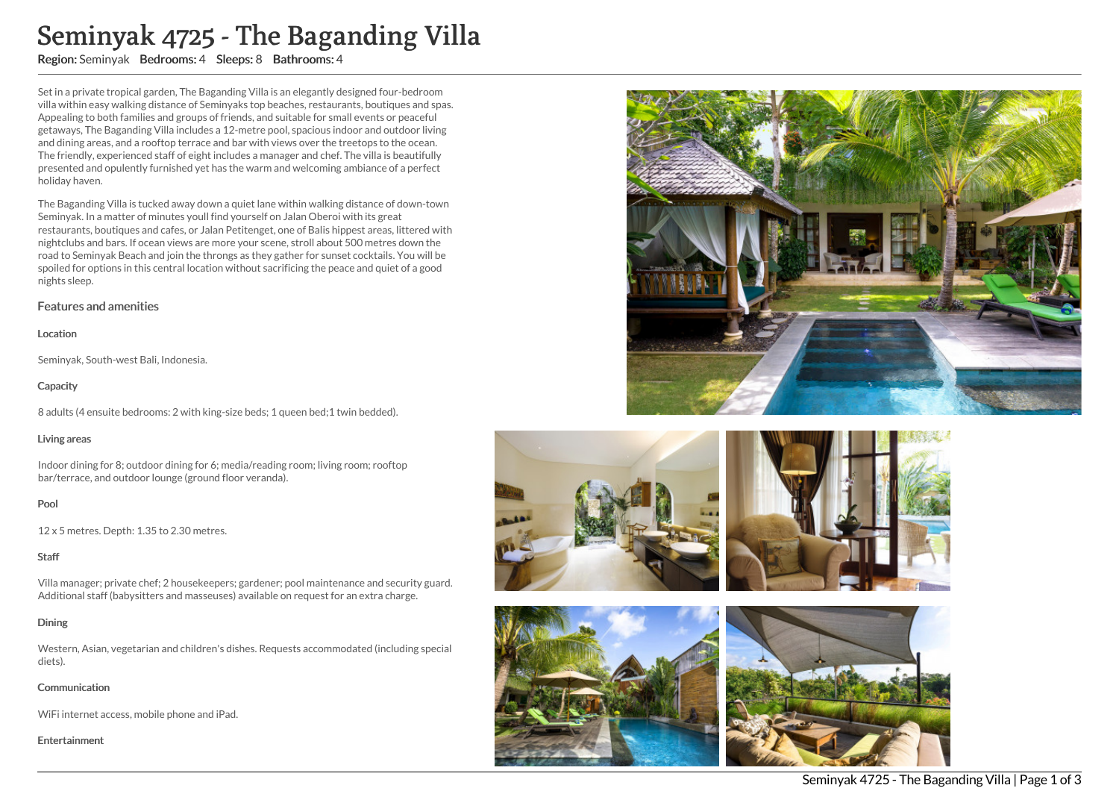# Seminyak 4725 - The Baganding Villa

Region: Seminyak Bedrooms: 4 Sleeps: 8 Bathrooms: 4

Set in a private tropical garden, The Baganding Villa is an elegantly designed four-bedroom villa within easy walking distance of Seminyaks top beaches, restaurants, boutiques and spas. Appealing to both families and groups of friends, and suitable for small events or peaceful getaways, The Baganding Villa includes a 12-metre pool, spacious indoor and outdoor living and dining areas, and a rooftop terrace and bar with views over the treetops to the ocean. The friendly, experienced staff of eight includes a manager and chef. The villa is beautifully presented and opulently furnished yet has the warm and welcoming ambiance of a perfect holiday haven.

The Baganding Villa is tucked away down a quiet lane within walking distance of down-town Seminyak. In a matter of minutes youll find yourself on Jalan Oberoi with its great restaurants, boutiques and cafes, or Jalan Petitenget, one of Balis hippest areas, littered with nightclubs and bars. If ocean views are more your scene, stroll about 500 metres down the road to Seminyak Beach and join the throngs as they gather for sunset cocktails. You will be spoiled for options in this central location without sacrificing the peace and quiet of a good nights sleep.

#### Features and amenities

#### Location

Seminyak, South-west Bali, Indonesia.

#### **Capacity**

8 adults (4 ensuite bedrooms: 2 with king-size beds; 1 queen bed;1 twin bedded).

#### Living areas

Indoor dining for 8; outdoor dining for 6; media/reading room; living room; rooftop bar/terrace, and outdoor lounge (ground floor veranda).

## Pool

12 x 5 metres. Depth: 1.35 to 2.30 metres.

## **Staff**

Villa manager; private chef; 2 housekeepers; gardener; pool maintenance and security guard. Additional staff (babysitters and masseuses) available on request for an extra charge.

## **Dining**

Western, Asian, vegetarian and children's dishes. Requests accommodated (including special diets).

#### **Communication**

WiFi internet access, mobile phone and iPad.

Entertainment







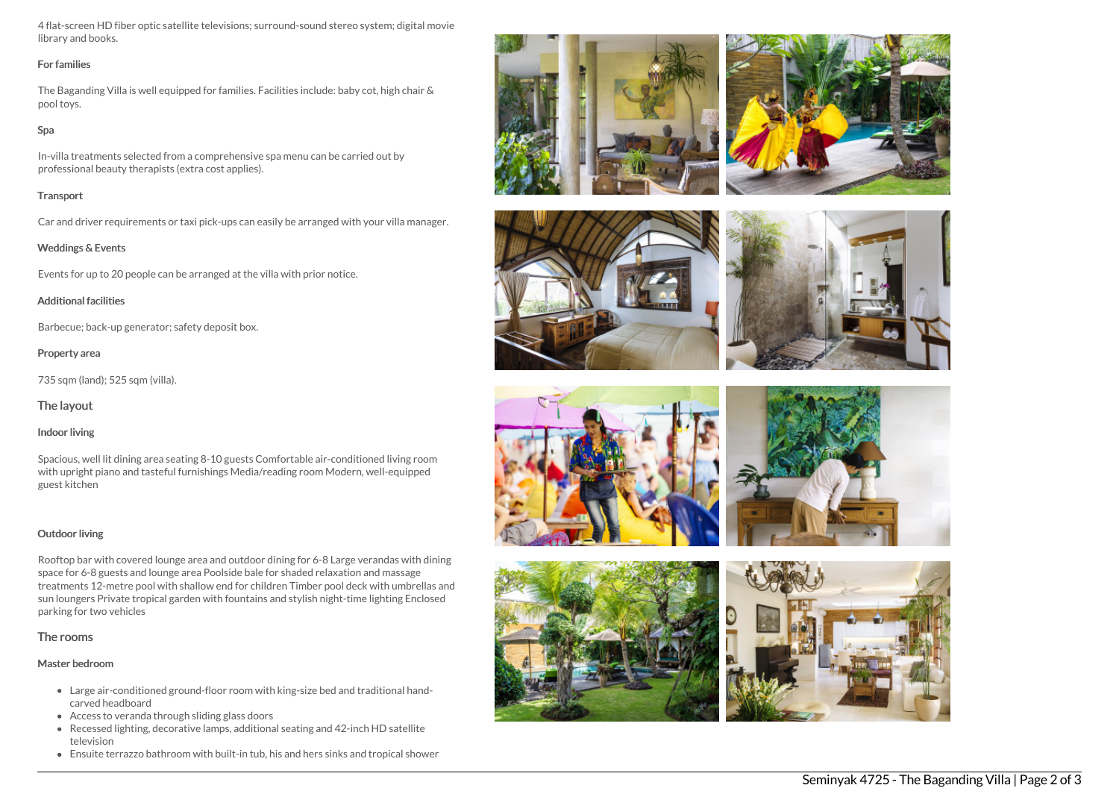4 flat-screen HD fiber optic satellite televisions; surround-sound stereo system; digital movie library and books.

#### For families

The Baganding Villa is well equipped for families. Facilities include: baby cot, high chair & pool toys.

## Spa

In-villa treatments selected from a comprehensive spa menu can be carried out by professional beauty therapists (extra cost applies).

## **Transport**

Car and driver requirements or taxi pick-ups can easily be arranged with your villa manager.

## Weddings & Events

Events for up to 20 people can be arranged at the villa with prior notice.

#### Additional facilities

Barbecue; back-up generator; safety deposit box.

## Property area

735 sqm (land); 525 sqm (villa).

The layout

## Indoor living

Spacious, well lit dining area seating 8-10 guests Comfortable air-conditioned living room with upright piano and tasteful furnishings Media/reading room Modern, well-equipped guest kitchen

## Outdoor living

Rooftop bar with covered lounge area and outdoor dining for 6-8 Large verandas with dining space for 6-8 guests and lounge area Poolside bale for shaded relaxation and massage treatments 12-metre pool with shallow end for children Timber pool deck with umbrellas and sun loungers Private tropical garden with fountains and stylish night-time lighting Enclosed parking for two vehicles

## The rooms

## Master bedroom

- Large air-conditioned ground-floor room with king-size bed and traditional handcarved headboard
- Access to veranda through sliding glass doors
- Recessed lighting, decorative lamps, additional seating and 42-inch HD satellite television
- Ensuite terrazzo bathroom with built-in tub, his and hers sinks and tropical shower